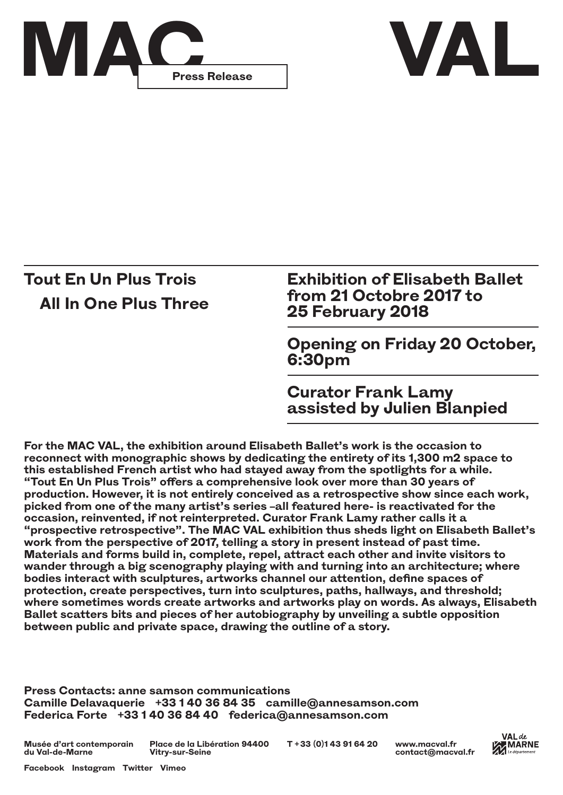



## **Tout En Un Plus Trois All In One Plus Three**

**Exhibition of Elisabeth Ballet from 21 Octobre 2017 to 25 February 2018**

**Opening on Friday 20 October, 6:30pm**

**Curator Frank Lamy assisted by Julien Blanpied**

**For the MAC VAL, the exhibition around Elisabeth Ballet's work is the occasion to reconnect with monographic shows by dedicating the entirety of its 1,300 m2 space to this established French artist who had stayed away from the spotlights for a while. "Tout En Un Plus Trois" offers a comprehensive look over more than 30 years of production. However, it is not entirely conceived as a retrospective show since each work, picked from one of the many artist's series –all featured here- is reactivated for the occasion, reinvented, if not reinterpreted. Curator Frank Lamy rather calls it a "prospective retrospective". The MAC VAL exhibition thus sheds light on Elisabeth Ballet's work from the perspective of 2017, telling a story in present instead of past time. Materials and forms build in, complete, repel, attract each other and invite visitors to wander through a big scenography playing with and turning into an architecture; where bodies interact with sculptures, artworks channel our attention, define spaces of protection, create perspectives, turn into sculptures, paths, hallways, and threshold; where sometimes words create artworks and artworks play on words. As always, Elisabeth Ballet scatters bits and pieces of her autobiography by unveiling a subtle opposition between public and private space, drawing the outline of a story.**

**Press Contacts: anne samson communications Camille Delavaquerie +33 1 40 36 84 35 camille@annesamson.com Federica Forte +33 1 40 36 84 40 federica@annesamson.com**

**Musée d'art contemporain du Val-de-Marne Place de la Libération 94400 T + 33 (0)1 43 91 64 20 Vitry-sur-Seine**



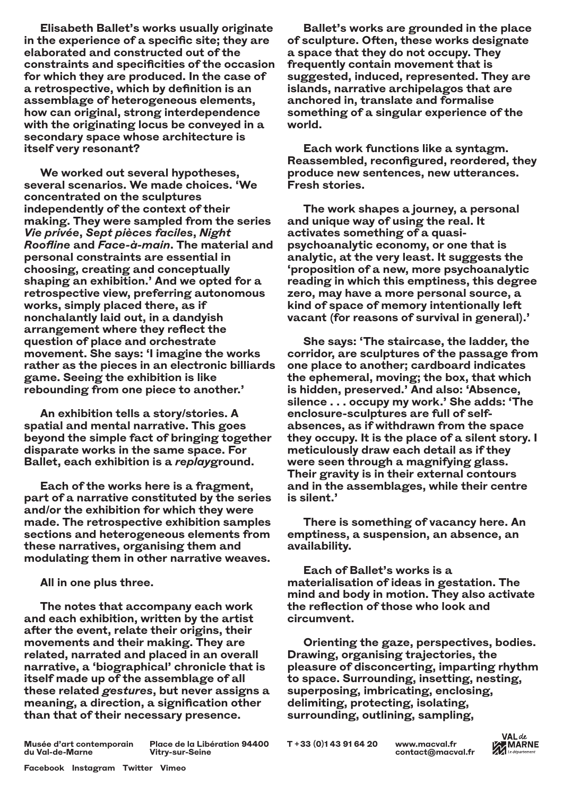**Elisabeth Ballet's works usually originate in the experience of a specific site; they are elaborated and constructed out of the constraints and specificities of the occasion for which they are produced. In the case of a retrospective, which by definition is an assemblage of heterogeneous elements, how can original, strong interdependence with the originating locus be conveyed in a secondary space whose architecture is itself very resonant?**

**We worked out several hypotheses, several scenarios. We made choices. 'We concentrated on the sculptures independently of the context of their making. They were sampled from the series**  *Vie privée***,** *Sept pièces faciles***,** *Night Roofline* **and** *Face-à-main***. The material and personal constraints are essential in choosing, creating and conceptually shaping an exhibition.' And we opted for a retrospective view, preferring autonomous works, simply placed there, as if nonchalantly laid out, in a dandyish arrangement where they reflect the question of place and orchestrate movement. She says: 'I imagine the works rather as the pieces in an electronic billiards game. Seeing the exhibition is like rebounding from one piece to another.'**

**An exhibition tells a story/stories. A spatial and mental narrative. This goes beyond the simple fact of bringing together disparate works in the same space. For Ballet, each exhibition is a** *replay***ground.**

**Each of the works here is a fragment, part of a narrative constituted by the series and/or the exhibition for which they were made. The retrospective exhibition samples sections and heterogeneous elements from these narratives, organising them and modulating them in other narrative weaves.**

**All in one plus three.**

**The notes that accompany each work and each exhibition, written by the artist after the event, relate their origins, their movements and their making. They are related, narrated and placed in an overall narrative, a 'biographical' chronicle that is itself made up of the assemblage of all these related** *gestures***, but never assigns a meaning, a direction, a signification other than that of their necessary presence.**

**Ballet's works are grounded in the place of sculpture. Often, these works designate a space that they do not occupy. They frequently contain movement that is suggested, induced, represented. They are islands, narrative archipelagos that are anchored in, translate and formalise something of a singular experience of the world.**

**Each work functions like a syntagm. Reassembled, reconfigured, reordered, they produce new sentences, new utterances. Fresh stories.** 

**The work shapes a journey, a personal and unique way of using the real. It activates something of a quasipsychoanalytic economy, or one that is analytic, at the very least. It suggests the 'proposition of a new, more psychoanalytic reading in which this emptiness, this degree zero, may have a more personal source, a kind of space of memory intentionally left vacant (for reasons of survival in general).'** 

**She says: 'The staircase, the ladder, the corridor, are sculptures of the passage from one place to another; cardboard indicates the ephemeral, moving; the box, that which is hidden, preserved.' And also: 'Absence, silence . . . occupy my work.' She adds: 'The enclosure-sculptures are full of selfabsences, as if withdrawn from the space they occupy. It is the place of a silent story. I meticulously draw each detail as if they were seen through a magnifying glass. Their gravity is in their external contours and in the assemblages, while their centre is silent.'** 

**There is something of vacancy here. An emptiness, a suspension, an absence, an availability.** 

**Each of Ballet's works is a materialisation of ideas in gestation. The mind and body in motion. They also activate the reflection of those who look and circumvent.** 

**Orienting the gaze, perspectives, bodies. Drawing, organising trajectories, the pleasure of disconcerting, imparting rhythm to space. Surrounding, insetting, nesting, superposing, imbricating, enclosing, delimiting, protecting, isolating, surrounding, outlining, sampling,** 

**Musée d'art contemporain du Val-de-Marne**

**Place de la Libération 94400 T + 33 (0)1 43 91 64 20 Vitry-sur-Seine**

**[www.macval.fr](http://) contact@macval.fr**

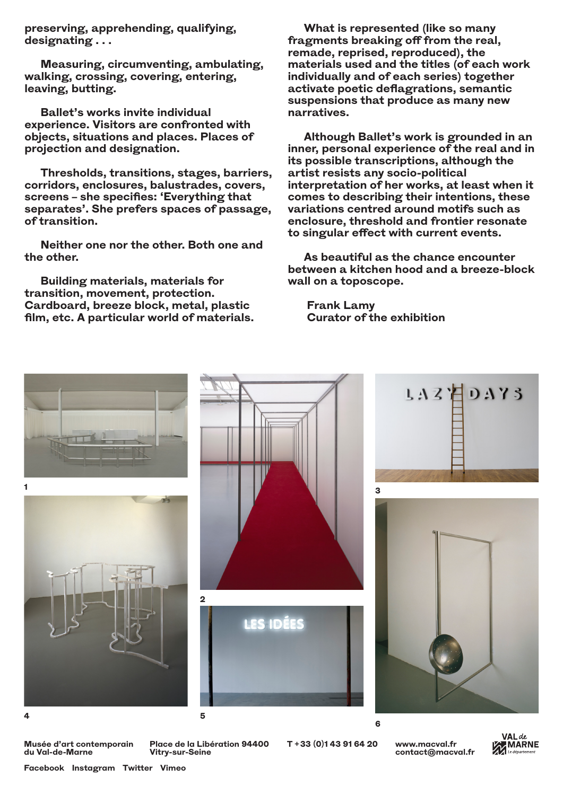**preserving, apprehending, qualifying, designating . . .**

**Measuring, circumventing, ambulating, walking, crossing, covering, entering, leaving, butting.**

**Ballet's works invite individual experience. Visitors are confronted with objects, situations and places. Places of projection and designation.**

**Thresholds, transitions, stages, barriers, corridors, enclosures, balustrades, covers, screens – she specifies: 'Everything that separates'. She prefers spaces of passage, of transition.**

**Neither one nor the other. Both one and the other.**

**Building materials, materials for transition, movement, protection. Cardboard, breeze block, metal, plastic film, etc. A particular world of materials.**

**What is represented (like so many fragments breaking off from the real, remade, reprised, reproduced), the materials used and the titles (of each work individually and of each series) together activate poetic deflagrations, semantic suspensions that produce as many new narratives.** 

**Although Ballet's work is grounded in an inner, personal experience of the real and in its possible transcriptions, although the artist resists any socio-political interpretation of her works, at least when it comes to describing their intentions, these variations centred around motifs such as enclosure, threshold and frontier resonate to singular effect with current events.**

**As beautiful as the chance encounter between a kitchen hood and a breeze-block wall on a toposcope.** 

**Frank Lamy Curator of the exhibition**



**Musée d'art contemporain du Val-de-Marne**

**Place de la Libération 94400 T + 33 (0)1 43 91 64 20 Vitry-sur-Seine**

**[www.macval.fr](http://) contact@macval.fr**



**[Facebook](https://www.facebook.com/macval.musee/) [Instagram](https://www.instagram.com/macval.musee/) [Twitter](https://twitter.com/macval) [Vimeo](https://vimeo.com/macvalproductions)**